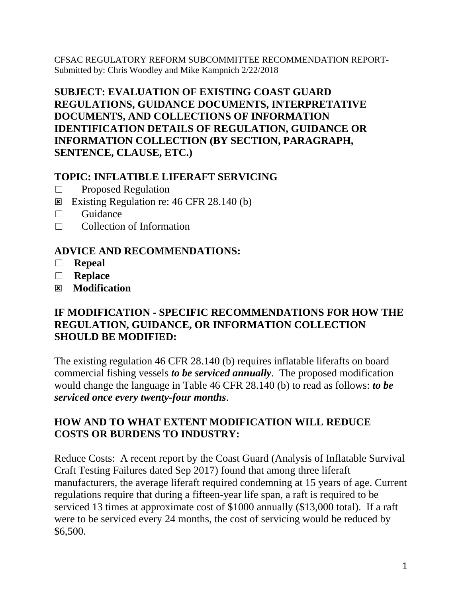CFSAC REGULATORY REFORM SUBCOMMITTEE RECOMMENDATION REPORT-Submitted by: Chris Woodley and Mike Kampnich 2/22/2018

## **SUBJECT: EVALUATION OF EXISTING COAST GUARD REGULATIONS, GUIDANCE DOCUMENTS, INTERPRETATIVE DOCUMENTS, AND COLLECTIONS OF INFORMATION IDENTIFICATION DETAILS OF REGULATION, GUIDANCE OR INFORMATION COLLECTION (BY SECTION, PARAGRAPH, SENTENCE, CLAUSE, ETC.)**

## **TOPIC: INFLATIBLE LIFERAFT SERVICING**

- ☐ Proposed Regulation
- Existing Regulation re:  $46$  CFR 28.140 (b)
- ☐ Guidance
- ☐ Collection of Information

#### **ADVICE AND RECOMMENDATIONS:**

- ☐ **Repeal**
- ☐ **Replace**
- **Modification**

#### **IF MODIFICATION - SPECIFIC RECOMMENDATIONS FOR HOW THE REGULATION, GUIDANCE, OR INFORMATION COLLECTION SHOULD BE MODIFIED:**

The existing regulation 46 CFR 28.140 (b) requires inflatable liferafts on board commercial fishing vessels *to be serviced annually*. The proposed modification would change the language in Table 46 CFR 28.140 (b) to read as follows: *to be serviced once every twenty-four months*.

## **HOW AND TO WHAT EXTENT MODIFICATION WILL REDUCE COSTS OR BURDENS TO INDUSTRY:**

Reduce Costs: A recent report by the Coast Guard (Analysis of Inflatable Survival Craft Testing Failures dated Sep 2017) found that among three liferaft manufacturers, the average liferaft required condemning at 15 years of age. Current regulations require that during a fifteen-year life span, a raft is required to be serviced 13 times at approximate cost of \$1000 annually (\$13,000 total). If a raft were to be serviced every 24 months, the cost of servicing would be reduced by \$6,500.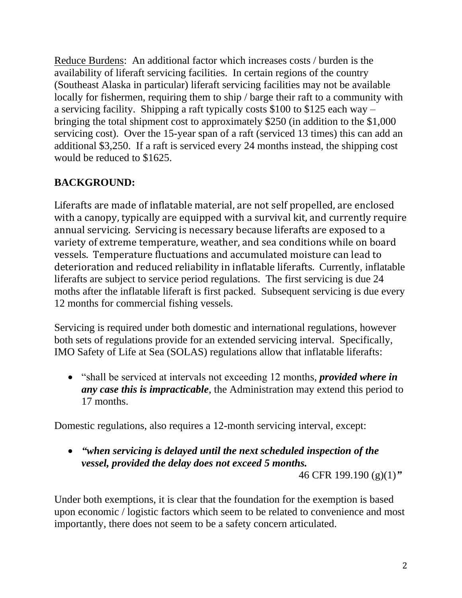Reduce Burdens: An additional factor which increases costs / burden is the availability of liferaft servicing facilities. In certain regions of the country (Southeast Alaska in particular) liferaft servicing facilities may not be available locally for fishermen, requiring them to ship / barge their raft to a community with a servicing facility. Shipping a raft typically costs \$100 to \$125 each way – bringing the total shipment cost to approximately \$250 (in addition to the \$1,000 servicing cost). Over the 15-year span of a raft (serviced 13 times) this can add an additional \$3,250. If a raft is serviced every 24 months instead, the shipping cost would be reduced to \$1625.

# **BACKGROUND:**

Liferafts are made of inflatable material, are not self propelled, are enclosed with a canopy, typically are equipped with a survival kit, and currently require annual servicing. Servicing is necessary because liferafts are exposed to a variety of extreme temperature, weather, and sea conditions while on board vessels. Temperature fluctuations and accumulated moisture can lead to deterioration and reduced reliability in inflatable liferafts. Currently, inflatable liferafts are subject to service period regulations. The first servicing is due 24 moths after the inflatable liferaft is first packed. Subsequent servicing is due every 12 months for commercial fishing vessels.

Servicing is required under both domestic and international regulations, however both sets of regulations provide for an extended servicing interval. Specifically, IMO Safety of Life at Sea (SOLAS) regulations allow that inflatable liferafts:

 "shall be serviced at intervals not exceeding 12 months, *provided where in any case this is impracticable*, the Administration may extend this period to 17 months.

Domestic regulations, also requires a 12-month servicing interval, except:

 *"when servicing is delayed until the next scheduled inspection of the vessel, provided the delay does not exceed 5 months.*

46 CFR 199.190 (g)(1)*"*

Under both exemptions, it is clear that the foundation for the exemption is based upon economic / logistic factors which seem to be related to convenience and most importantly, there does not seem to be a safety concern articulated.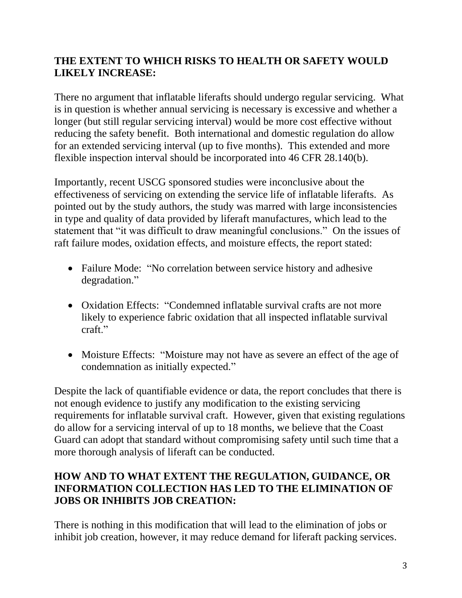## **THE EXTENT TO WHICH RISKS TO HEALTH OR SAFETY WOULD LIKELY INCREASE:**

There no argument that inflatable liferafts should undergo regular servicing. What is in question is whether annual servicing is necessary is excessive and whether a longer (but still regular servicing interval) would be more cost effective without reducing the safety benefit. Both international and domestic regulation do allow for an extended servicing interval (up to five months). This extended and more flexible inspection interval should be incorporated into 46 CFR 28.140(b).

Importantly, recent USCG sponsored studies were inconclusive about the effectiveness of servicing on extending the service life of inflatable liferafts. As pointed out by the study authors, the study was marred with large inconsistencies in type and quality of data provided by liferaft manufactures, which lead to the statement that "it was difficult to draw meaningful conclusions." On the issues of raft failure modes, oxidation effects, and moisture effects, the report stated:

- Failure Mode: "No correlation between service history and adhesive degradation."
- Oxidation Effects: "Condemned inflatable survival crafts are not more likely to experience fabric oxidation that all inspected inflatable survival craft"
- Moisture Effects: "Moisture may not have as severe an effect of the age of condemnation as initially expected."

Despite the lack of quantifiable evidence or data, the report concludes that there is not enough evidence to justify any modification to the existing servicing requirements for inflatable survival craft. However, given that existing regulations do allow for a servicing interval of up to 18 months, we believe that the Coast Guard can adopt that standard without compromising safety until such time that a more thorough analysis of liferaft can be conducted.

## **HOW AND TO WHAT EXTENT THE REGULATION, GUIDANCE, OR INFORMATION COLLECTION HAS LED TO THE ELIMINATION OF JOBS OR INHIBITS JOB CREATION:**

There is nothing in this modification that will lead to the elimination of jobs or inhibit job creation, however, it may reduce demand for liferaft packing services.